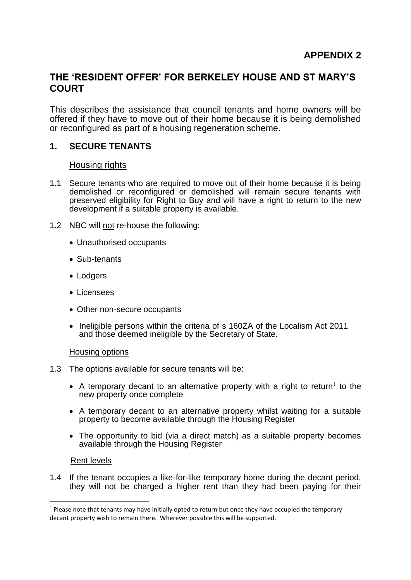# **THE 'RESIDENT OFFER' FOR BERKELEY HOUSE AND ST MARY'S COURT**

This describes the assistance that council tenants and home owners will be offered if they have to move out of their home because it is being demolished or reconfigured as part of a housing regeneration scheme.

## **1. SECURE TENANTS**

## Housing rights

- 1.1 Secure tenants who are required to move out of their home because it is being demolished or reconfigured or demolished will remain secure tenants with preserved eligibility for Right to Buy and will have a right to return to the new development if a suitable property is available.
- 1.2 NBC will not re-house the following:
	- Unauthorised occupants
	- Sub-tenants
	- Lodgers
	- Licensees
	- Other non-secure occupants
	- Ineligible persons within the criteria of s 160ZA of the Localism Act 2011 and those deemed ineligible by the Secretary of State.

## Housing options

- 1.3 The options available for secure tenants will be:
	- A temporary decant to an alternative property with a right to return<sup>1</sup> to the new property once complete
	- A temporary decant to an alternative property whilst waiting for a suitable property to become available through the Housing Register
	- The opportunity to bid (via a direct match) as a suitable property becomes available through the Housing Register

#### Rent levels

1

1.4 If the tenant occupies a like-for-like temporary home during the decant period, they will not be charged a higher rent than they had been paying for their

 $1$  Please note that tenants may have initially opted to return but once they have occupied the temporary decant property wish to remain there. Wherever possible this will be supported.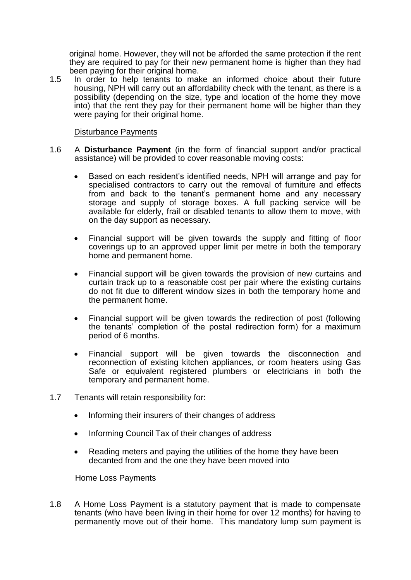original home. However, they will not be afforded the same protection if the rent they are required to pay for their new permanent home is higher than they had been paying for their original home.

1.5 In order to help tenants to make an informed choice about their future housing, NPH will carry out an affordability check with the tenant, as there is a possibility (depending on the size, type and location of the home they move into) that the rent they pay for their permanent home will be higher than they were paying for their original home.

#### Disturbance Payments

- 1.6 A **Disturbance Payment** (in the form of financial support and/or practical assistance) will be provided to cover reasonable moving costs:
	- Based on each resident's identified needs, NPH will arrange and pay for specialised contractors to carry out the removal of furniture and effects from and back to the tenant's permanent home and any necessary storage and supply of storage boxes. A full packing service will be available for elderly, frail or disabled tenants to allow them to move, with on the day support as necessary.
	- Financial support will be given towards the supply and fitting of floor coverings up to an approved upper limit per metre in both the temporary home and permanent home.
	- Financial support will be given towards the provision of new curtains and curtain track up to a reasonable cost per pair where the existing curtains do not fit due to different window sizes in both the temporary home and the permanent home.
	- Financial support will be given towards the redirection of post (following the tenants' completion of the postal redirection form) for a maximum period of 6 months.
	- Financial support will be given towards the disconnection and reconnection of existing kitchen appliances, or room heaters using Gas Safe or equivalent registered plumbers or electricians in both the temporary and permanent home.
- 1.7 Tenants will retain responsibility for:
	- Informing their insurers of their changes of address
	- Informing Council Tax of their changes of address
	- Reading meters and paying the utilities of the home they have been decanted from and the one they have been moved into

#### Home Loss Payments

1.8 A Home Loss Payment is a statutory payment that is made to compensate tenants (who have been living in their home for over 12 months) for having to permanently move out of their home. This mandatory lump sum payment is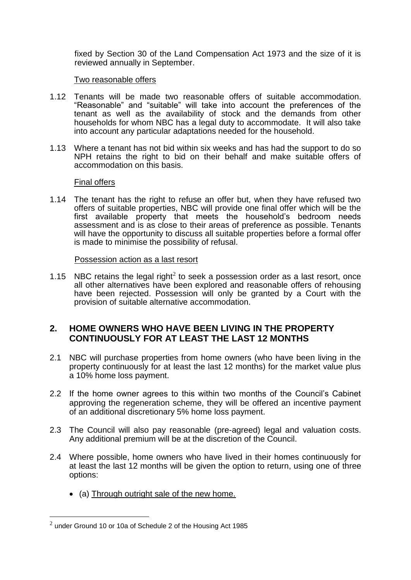fixed by Section 30 of the Land Compensation Act 1973 and the size of it is reviewed annually in September.

#### Two reasonable offers

- 1.12 Tenants will be made two reasonable offers of suitable accommodation. "Reasonable" and "suitable" will take into account the preferences of the tenant as well as the availability of stock and the demands from other households for whom NBC has a legal duty to accommodate. It will also take into account any particular adaptations needed for the household.
- 1.13 Where a tenant has not bid within six weeks and has had the support to do so NPH retains the right to bid on their behalf and make suitable offers of accommodation on this basis.

#### Final offers

1.14 The tenant has the right to refuse an offer but, when they have refused two offers of suitable properties, NBC will provide one final offer which will be the first available property that meets the household's bedroom needs assessment and is as close to their areas of preference as possible. Tenants will have the opportunity to discuss all suitable properties before a formal offer is made to minimise the possibility of refusal.

#### Possession action as a last resort

1.15 NBC retains the legal right<sup>2</sup> to seek a possession order as a last resort, once all other alternatives have been explored and reasonable offers of rehousing have been rejected. Possession will only be granted by a Court with the provision of suitable alternative accommodation.

## **2. HOME OWNERS WHO HAVE BEEN LIVING IN THE PROPERTY CONTINUOUSLY FOR AT LEAST THE LAST 12 MONTHS**

- 2.1 NBC will purchase properties from home owners (who have been living in the property continuously for at least the last 12 months) for the market value plus a 10% home loss payment.
- 2.2 If the home owner agrees to this within two months of the Council's Cabinet approving the regeneration scheme, they will be offered an incentive payment of an additional discretionary 5% home loss payment.
- 2.3 The Council will also pay reasonable (pre-agreed) legal and valuation costs. Any additional premium will be at the discretion of the Council.
- 2.4 Where possible, home owners who have lived in their homes continuously for at least the last 12 months will be given the option to return, using one of three options:
	- (a) Through outright sale of the new home.

1

 $^2$  under Ground 10 or 10a of Schedule 2 of the Housing Act 1985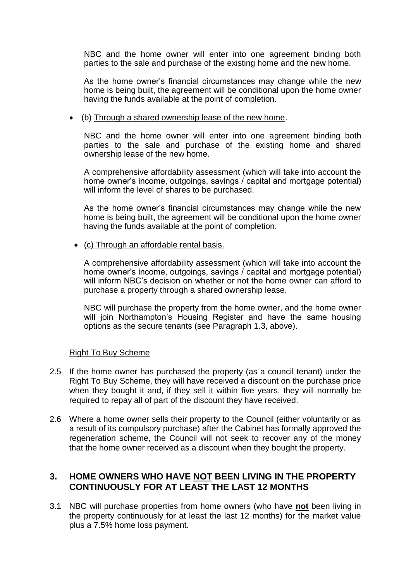NBC and the home owner will enter into one agreement binding both parties to the sale and purchase of the existing home and the new home.

As the home owner's financial circumstances may change while the new home is being built, the agreement will be conditional upon the home owner having the funds available at the point of completion.

#### (b) Through a shared ownership lease of the new home.

NBC and the home owner will enter into one agreement binding both parties to the sale and purchase of the existing home and shared ownership lease of the new home.

A comprehensive affordability assessment (which will take into account the home owner's income, outgoings, savings / capital and mortgage potential) will inform the level of shares to be purchased.

As the home owner's financial circumstances may change while the new home is being built, the agreement will be conditional upon the home owner having the funds available at the point of completion.

(c) Through an affordable rental basis.

A comprehensive affordability assessment (which will take into account the home owner's income, outgoings, savings / capital and mortgage potential) will inform NBC's decision on whether or not the home owner can afford to purchase a property through a shared ownership lease.

NBC will purchase the property from the home owner, and the home owner will join Northampton's Housing Register and have the same housing options as the secure tenants (see Paragraph 1.3, above).

## Right To Buy Scheme

- 2.5 If the home owner has purchased the property (as a council tenant) under the Right To Buy Scheme, they will have received a discount on the purchase price when they bought it and, if they sell it within five years, they will normally be required to repay all of part of the discount they have received.
- 2.6 Where a home owner sells their property to the Council (either voluntarily or as a result of its compulsory purchase) after the Cabinet has formally approved the regeneration scheme, the Council will not seek to recover any of the money that the home owner received as a discount when they bought the property.

## **3. HOME OWNERS WHO HAVE NOT BEEN LIVING IN THE PROPERTY CONTINUOUSLY FOR AT LEAST THE LAST 12 MONTHS**

3.1 NBC will purchase properties from home owners (who have **not** been living in the property continuously for at least the last 12 months) for the market value plus a 7.5% home loss payment.